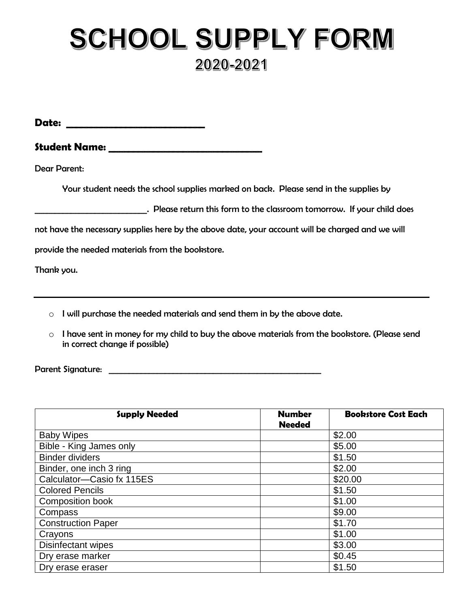## SCHOOL SUPPLY FORM 2020-2021

**Date: \_\_\_\_\_\_\_\_\_\_\_\_\_\_\_\_\_\_\_\_\_\_\_\_\_\_\_\_**

**Student Name: \_\_\_\_\_\_\_\_\_\_\_\_\_\_\_\_\_\_\_\_\_\_\_\_\_\_\_\_\_\_\_**

Dear Parent:

Your student needs the school supplies marked on back. Please send in the supplies by

**Example 20** Please return this form to the classroom tomorrow. If your child does

not have the necessary supplies here by the above date, your account will be charged and we will

provide the needed materials from the bookstore.

Thank you.

- $\circ$  I will purchase the needed materials and send them in by the above date.
- $\circ$  I have sent in money for my child to buy the above materials from the bookstore. (Please send in correct change if possible)

Parent Signature: \_\_\_\_\_\_\_\_\_\_\_\_\_\_\_\_\_\_\_\_\_\_\_\_\_\_\_\_\_\_\_\_\_\_\_\_\_\_\_\_\_\_\_\_\_\_\_\_\_\_\_\_\_

| <b>Supply Needed</b>      | <b>Number</b><br><b>Needed</b> | <b>Bookstore Cost Each</b> |
|---------------------------|--------------------------------|----------------------------|
| <b>Baby Wipes</b>         |                                | \$2.00                     |
| Bible - King James only   |                                | \$5.00                     |
| <b>Binder dividers</b>    |                                | \$1.50                     |
| Binder, one inch 3 ring   |                                | \$2.00                     |
| Calculator-Casio fx 115ES |                                | \$20.00                    |
| <b>Colored Pencils</b>    |                                | \$1.50                     |
| Composition book          |                                | \$1.00                     |
| Compass                   |                                | \$9.00                     |
| <b>Construction Paper</b> |                                | \$1.70                     |
| Crayons                   |                                | \$1.00                     |
| <b>Disinfectant wipes</b> |                                | \$3.00                     |
| Dry erase marker          |                                | \$0.45                     |
| Dry erase eraser          |                                | \$1.50                     |